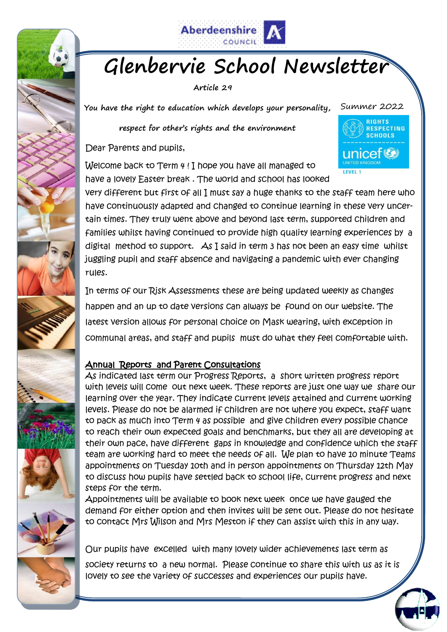

# **Glenbervie School Newsletter**

**Article 29**

**You have the right to education which develops your personality,** 

**respect for other's rights and the environment**

Dear Parents and pupils,

RIGHTS RESPECTING **SCHOOLS** unicef<sup>(2)</sup>

Summer 2022

Welcome back to Term 4 ! I hope you have all managed to have a lovely Easter break . The world and school has looked

very different but first of all I must say a huge thanks to the staff team here who have continuously adapted and changed to continue learning in these very uncertain times. They truly went above and beyond last term, supported children and families whilst having continued to provide high quality learning experiences by a digital method to support. As I said in term 3 has not been an easy time whilst juggling pupil and staff absence and navigating a pandemic with ever changing rules.

In terms of our Risk Assessments these are being updated weekly as changes happen and an up to date versions can always be found on our website. The latest version allows for personal choice on Mask wearing, with exception in communal areas, and staff and pupils must do what they feel comfortable with.

# Annual Reports and Parent Consultations

As indicated last term our Progress Reports, a short written progress report with levels will come out next week. These reports are just one way we share our learning over the year. They indicate current levels attained and current working levels. Please do not be alarmed if children are not where you expect, staff want to pack as much into Term 4 as possible and give children every possible chance to reach their own expected goals and benchmarks, but they all are developing at their own pace, have different gaps in knowledge and confidence which the staff team are working hard to meet the needs of all. We plan to have 10 minute Teams appointments on Tuesday 10th and in person appointments on Thursday 12th May to discuss how pupils have settled back to school life, current progress and next steps for the term.

Appointments will be available to book next week once we have gauged the demand for either option and then invites will be sent out. Please do not hesitate to contact Mrs Wilson and Mrs Meston if they can assist with this in any way.

Our pupils have excelled with many lovely wider achievements last term as

society returns to a new normal. Please continue to share this with us as it is lovely to see the variety of successes and experiences our pupils have.

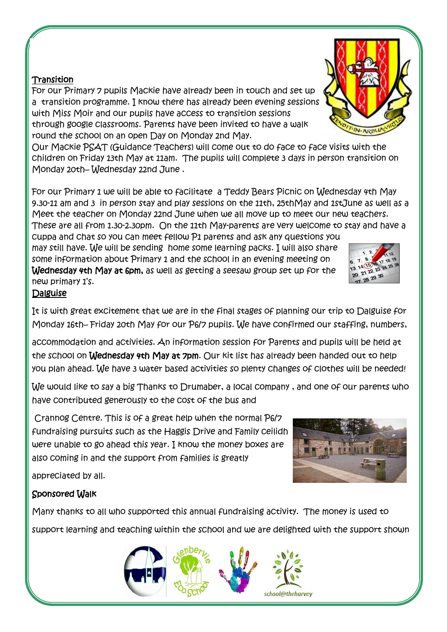#### **Transition**

For our Primary 7 pupils Mackie have already been in touch and set up a transition programme. I know there has already been evening sessions with Miss Moir and our pupils have access to transition sessions through google classrooms. Parents have been invited to have a walk round the school on an open Day on Monday 2nd May.

Our Mackie PSAT (Guidance Teachers) will come out to do face to face visits with the children on Friday 13th May at 11am. The pupils will complete 3 days in person transition on Monday 20th– Wednesday 22nd June .

For our Primary 1 we will be able to facilitate a Teddy Bears Picnic on Wednesday 4th May 9.30-11 am and 3 in person stay and play sessions on the 11th, 25thMay and 1stJune as well as a Meet the teacher on Monday 22nd June when we all move up to meet our new teachers. These are all from 1.30-2.30pm. On the 11th May-parents are very welcome to stay and have a

cuppa and chat so you can meet fellow P1 parents and ask any questions you may still have. We will be sending home some learning packs. I will also share some information about Primary 1 and the school in an evening meeting on Wednesday 4th May at 6pm, as well as getting a seesaw group set up for the new primary 1's.

#### Dalguise

It is with great excitement that we are in the final stages of planning our trip to Dalguise for Monday 16th– Friday 20th May for our P6/7 pupils. We have confirmed our staffing, numbers,

accommodation and activities. An information session for Parents and pupils will be held at the school on Wednesday 4th May at 7pm. Our kit list has already been handed out to help you plan ahead. We have 3 water based activities so plenty changes of clothes will be needed!

We would like to say a big Thanks to Drumaber, a local company , and one of our parents who have contributed generously to the cost of the bus and

Crannog Centre. This is of a great help when the normal P6/7 fundraising pursuits such as the Haggis Drive and Family ceilidh were unable to go ahead this year. I know the money boxes are also coming in and the support from families is greatly

appreciated by all.

## Sponsored Walk

Many thanks to all who supported this annual fundraising activity. The money is used to support learning and teaching within the school and we are delighted with the support shown







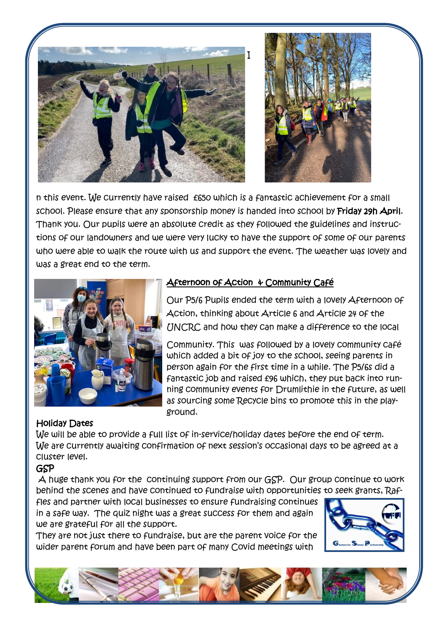



n this event. We currently have raised £650 which is a fantastic achievement for a small school. Please ensure that any sponsorship money is handed into school by Friday 29h April. Thank you. Our pupils were an absolute credit as they followed the guidelines and instructions of our landowners and we were very lucky to have the support of some of our parents who were able to walk the route with us and support the event. The weather was lovely and was a great end to the term.



# Afternoon of Action & Community Café

Our P5/6 Pupils ended the term with a lovely Afternoon of Action, thinking about Article 6 and Article 24 of the UNCRC and how they can make a difference to the local

Community. This was followed by a lovely community café which added a bit of joy to the school, seeing parents in person again for the first time in a while. The P5/6s did a fantastic job and raised £96 which, they put back into running community events for Drumlithie in the future, as well as sourcing some Recycle bins to promote this in the playground.

## Holiday Dates

We will be able to provide a full list of in-service/holiday dates before the end of term. We are currently awaiting confirmation of next session's occasional days to be agreed at a cluster level.

## GSP

A huge thank you for the continuing support from our GSP. Our group continue to work behind the scenes and have continued to fundraise with opportunities to seek grants, Raf-

fles and partner with local businesses to ensure fundraising continues in a safe way. The quiz night was a great success for them and again we are grateful for all the support.

They are not just there to fundraise, but are the parent voice for the wider parent forum and have been part of many Covid meetings with